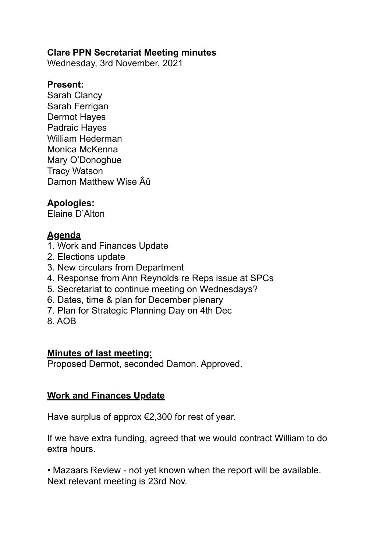#### **Clare PPN Secretariat Meeting minutes**

Wednesday, 3rd November, 2021

#### **Present:**

Sarah Clancy Sarah Ferrigan Dermot Hayes Padraic Hayes William Hederman Monica McKenna Mary O'Donoghue Tracy Watson Damon Matthew Wise Âû

### **Apologies:**

Elaine D'Alton

## **Agenda**

- 1. Work and Finances Update
- 2. Elections update
- 3. New circulars from Department
- 4. Response from Ann Reynolds re Reps issue at SPCs
- 5. Secretariat to continue meeting on Wednesdays?
- 6. Dates, time & plan for December plenary
- 7. Plan for Strategic Planning Day on 4th Dec
- 8. AOB

### **Minutes of last meeting:**

Proposed Dermot, seconded Damon. Approved.

### **Work and Finances Update**

Have surplus of approx  $\epsilon$ 2,300 for rest of year.

If we have extra funding, agreed that we would contract William to do extra hours.

• Mazaars Review - not yet known when the report will be available. Next relevant meeting is 23rd Nov.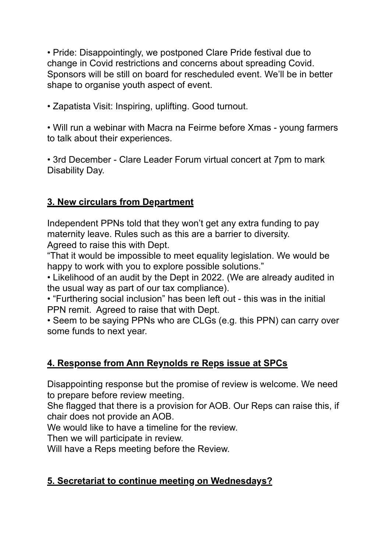• Pride: Disappointingly, we postponed Clare Pride festival due to change in Covid restrictions and concerns about spreading Covid. Sponsors will be still on board for rescheduled event. We'll be in better shape to organise youth aspect of event.

• Zapatista Visit: Inspiring, uplifting. Good turnout.

• Will run a webinar with Macra na Feirme before Xmas - young farmers to talk about their experiences.

• 3rd December - Clare Leader Forum virtual concert at 7pm to mark Disability Day.

### **3. New circulars from Department**

Independent PPNs told that they won't get any extra funding to pay maternity leave. Rules such as this are a barrier to diversity. Agreed to raise this with Dept.

"That it would be impossible to meet equality legislation. We would be happy to work with you to explore possible solutions."

• Likelihood of an audit by the Dept in 2022. (We are already audited in the usual way as part of our tax compliance).

• "Furthering social inclusion" has been left out - this was in the initial PPN remit. Agreed to raise that with Dept.

• Seem to be saying PPNs who are CLGs (e.g. this PPN) can carry over some funds to next year.

### **4. Response from Ann Reynolds re Reps issue at SPCs**

Disappointing response but the promise of review is welcome. We need to prepare before review meeting.

She flagged that there is a provision for AOB. Our Reps can raise this, if chair does not provide an AOB.

We would like to have a timeline for the review.

Then we will participate in review.

Will have a Reps meeting before the Review.

## **5. Secretariat to continue meeting on Wednesdays?**